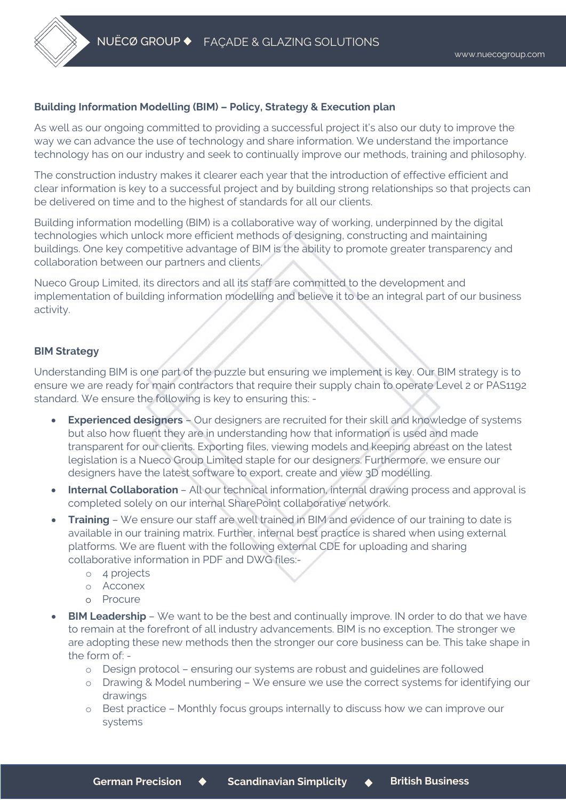## **Building Information Modelling (BIM) – Policy, Strategy & Execution plan**

As well as our ongoing committed to providing a successful project it's also our duty to improve the way we can advance the use of technology and share information. We understand the importance technology has on our industry and seek to continually improve our methods, training and philosophy.

The construction industry makes it clearer each year that the introduction of effective efficient and clear information is key to a successful project and by building strong relationships so that projects can be delivered on time and to the highest of standards for all our clients.

Building information modelling (BIM) is a collaborative way of working, underpinned by the digital technologies which unlock more efficient methods of designing, constructing and maintaining buildings. One key competitive advantage of BIM is the ability to promote greater transparency and collaboration between our partners and clients.

Nueco Group Limited, its directors and all its staff are committed to the development and implementation of building information modelling and believe it to be an integral part of our business activity.

## **BIM Strategy**

Understanding BIM is one part of the puzzle but ensuring we implement is key. Our BIM strategy is to ensure we are ready for main contractors that require their supply chain to operate Level 2 or PAS1192 standard. We ensure the following is key to ensuring this: -

- **Experienced designers** Our designers are recruited for their skill and knowledge of systems but also how fluent they are in understanding how that information is used and made transparent for our clients. Exporting files, viewing models and keeping abreast on the latest legislation is a Nueco Group Limited staple for our designers. Furthermore, we ensure our designers have the latest software to export, create and view 3D modelling.
- **Internal Collaboration** All our technical information, internal drawing process and approval is completed solely on our internal SharePoint collaborative network.
- **Training** We ensure our staff are well trained in BIM and evidence of our training to date is available in our training matrix. Further, internal best practice is shared when using external platforms. We are fluent with the following external CDE for uploading and sharing collaborative information in PDF and DWG files:
	- o 4 projects
	- o Acconex
	- o Procure
- **BIM Leadership** We want to be the best and continually improve. IN order to do that we have to remain at the forefront of all industry advancements. BIM is no exception. The stronger we are adopting these new methods then the stronger our core business can be. This take shape in the form of:
	- o Design protocol ensuring our systems are robust and guidelines are followed
	- o Drawing & Model numbering We ensure we use the correct systems for identifying our drawings
	- o Best practice Monthly focus groups internally to discuss how we can improve our systems